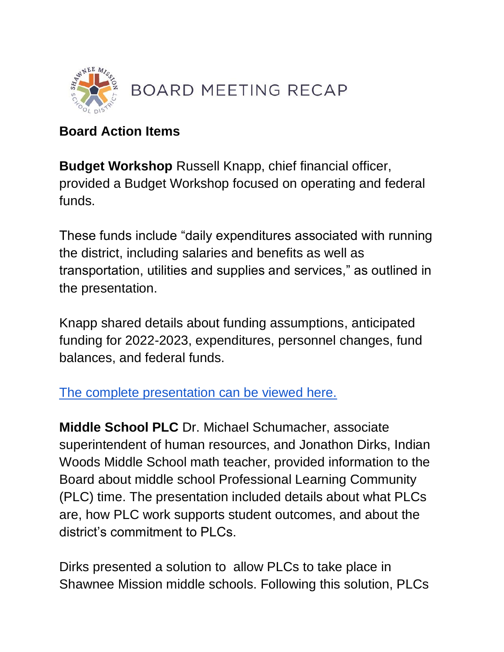

## **Board Action Items**

**Budget Workshop** Russell Knapp, chief financial officer, provided a Budget Workshop focused on operating and federal funds.

These funds include "daily expenditures associated with running the district, including salaries and benefits as well as transportation, utilities and supplies and services," as outlined in the presentation.

Knapp shared details about funding assumptions, anticipated funding for 2022-2023, expenditures, personnel changes, fund balances, and federal funds.

[The complete presentation can be viewed here.](https://go.boarddocs.com/ks/smsd/Board.nsf/files/CEKGWB45C40A/$file/May%20Workshop%20Presentation%20Operating%20Funds%202022.pdf) 

**Middle School PLC** Dr. Michael Schumacher, associate superintendent of human resources, and Jonathon Dirks, Indian Woods Middle School math teacher, provided information to the Board about middle school Professional Learning Community (PLC) time. The presentation included details about what PLCs are, how PLC work supports student outcomes, and about the district's commitment to PLCs.

Dirks presented a solution to allow PLCs to take place in Shawnee Mission middle schools. Following this solution, PLCs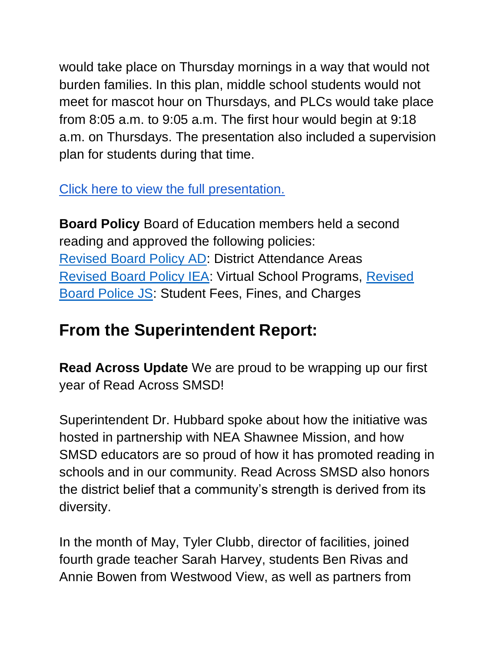would take place on Thursday mornings in a way that would not burden families. In this plan, middle school students would not meet for mascot hour on Thursdays, and PLCs would take place from 8:05 a.m. to 9:05 a.m. The first hour would begin at 9:18 a.m. on Thursdays. The presentation also included a supervision plan for students during that time.

[Click here to view the full presentation.](https://go.boarddocs.com/ks/smsd/Board.nsf/files/CELSDN6D0293/$file/Middle%20School%20Late%20Start%20Recommendation.pdf) 

**Board Policy** Board of Education members held a second reading and approved the following policies: [Revised Board Policy AD:](http://go.boarddocs.com/ks/smsd/Board.nsf/goto?open&id=CEJRL36E6225) District Attendance Areas [Revised Board Policy IEA:](http://go.boarddocs.com/ks/smsd/Board.nsf/goto?open&id=CEJRL46E64B5) Virtual School Programs, [Revised](http://go.boarddocs.com/ks/smsd/Board.nsf/goto?open&id=CEJRL56E66E8)  [Board Police JS:](http://go.boarddocs.com/ks/smsd/Board.nsf/goto?open&id=CEJRL56E66E8) Student Fees, Fines, and Charges

## **From the Superintendent Report:**

**Read Across Update** We are proud to be wrapping up our first year of Read Across SMSD!

Superintendent Dr. Hubbard spoke about how the initiative was hosted in partnership with NEA Shawnee Mission, and how SMSD educators are so proud of how it has promoted reading in schools and in our community. Read Across SMSD also honors the district belief that a community's strength is derived from its diversity.

In the month of May, Tyler Clubb, director of facilities, joined fourth grade teacher Sarah Harvey, students Ben Rivas and Annie Bowen from Westwood View, as well as partners from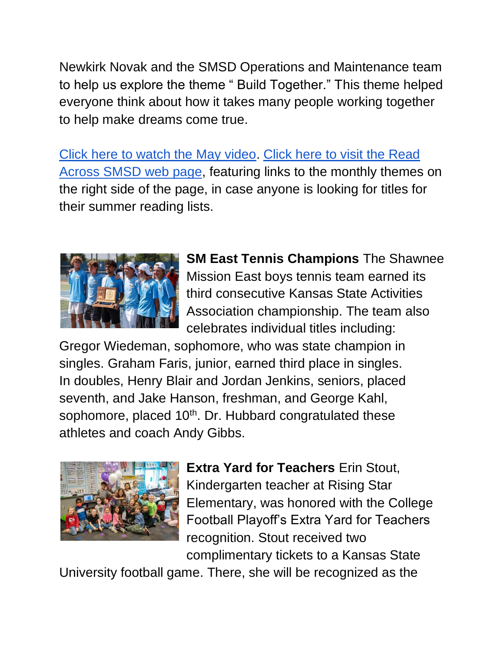Newkirk Novak and the SMSD Operations and Maintenance team to help us explore the theme " Build Together." This theme helped everyone think about how it takes many people working together to help make dreams come true.

[Click here to watch the May video.](https://youtu.be/am85uZVTe6c) [Click here to visit the Read](https://www.smsd.org/about/read-across-smsd)  [Across SMSD web page,](https://www.smsd.org/about/read-across-smsd) featuring links to the monthly themes on the right side of the page, in case anyone is looking for titles for their summer reading lists.



**SM East Tennis Champions** The Shawnee Mission East boys tennis team earned its third consecutive Kansas State Activities Association championship. The team also celebrates individual titles including:

Gregor Wiedeman, sophomore, who was state champion in singles. Graham Faris, junior, earned third place in singles. In doubles, Henry Blair and Jordan Jenkins, seniors, placed seventh, and Jake Hanson, freshman, and George Kahl, sophomore, placed 10<sup>th</sup>. Dr. Hubbard congratulated these athletes and coach Andy Gibbs.



**Extra Yard for Teachers** Erin Stout, Kindergarten teacher at Rising Star Elementary, was honored with the College Football Playoff's Extra Yard for Teachers recognition. Stout received two complimentary tickets to a Kansas State

University football game. There, she will be recognized as the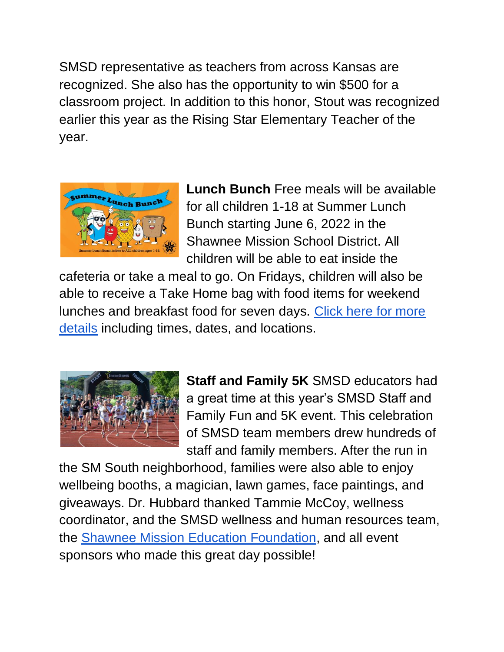SMSD representative as teachers from across Kansas are recognized. She also has the opportunity to win \$500 for a classroom project. In addition to this honor, Stout was recognized earlier this year as the Rising Star Elementary Teacher of the year.



**Lunch Bunch** Free meals will be available for all children 1-18 at Summer Lunch Bunch starting June 6, 2022 in the Shawnee Mission School District. All children will be able to eat inside the

cafeteria or take a meal to go. On Fridays, children will also be able to receive a Take Home bag with food items for weekend lunches and breakfast food for seven days. [Click here for more](https://www.smsd.org/about/news-archives/news-archive-details/~board/2021-2022-district-news/post/summer-lunch-bunch-begins-june-6-2022)  [details](https://www.smsd.org/about/news-archives/news-archive-details/~board/2021-2022-district-news/post/summer-lunch-bunch-begins-june-6-2022) including times, dates, and locations.



**Staff and Family 5K** SMSD educators had a great time at this year's SMSD Staff and Family Fun and 5K event. This celebration of SMSD team members drew hundreds of staff and family members. After the run in

the SM South neighborhood, families were also able to enjoy wellbeing booths, a magician, lawn games, face paintings, and giveaways. Dr. Hubbard thanked Tammie McCoy, wellness coordinator, and the SMSD wellness and human resources team, the [Shawnee Mission Education Foundation,](https://www.smef.org/s/1485/17/start.aspx) and all event sponsors who made this great day possible!